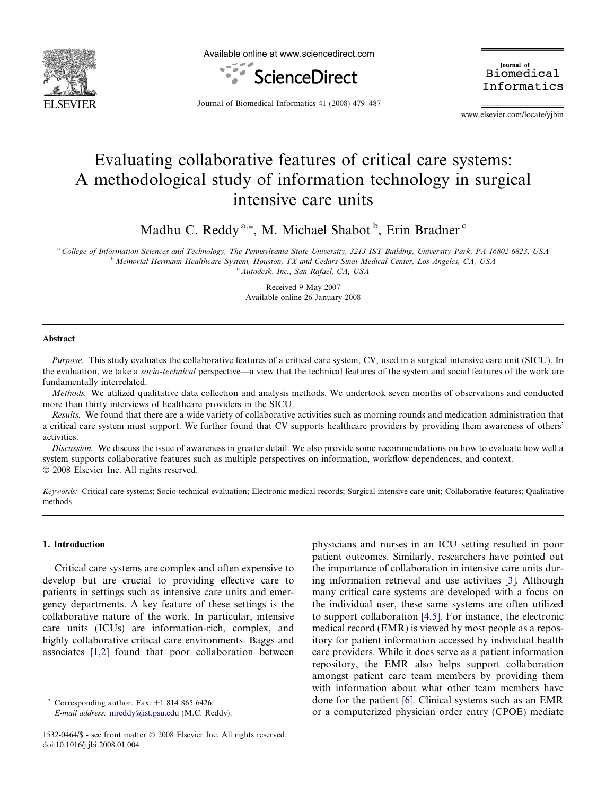

Available online at www.sciencedirect.com



**Iournal** of Biomedical Informatics

Journal of Biomedical Informatics 41 (2008) 479–487

www.elsevier.com/locate/yjbin

# Evaluating collaborative features of critical care systems: A methodological study of information technology in surgical intensive care units

Madhu C. Reddy<sup>a,\*</sup>, M. Michael Shabot<sup>b</sup>, Erin Bradner<sup>c</sup>

<sup>a</sup> College of Information Sciences and Technology, The Pennsylvania State University, 321J IST Building, University Park, PA 16802-6823, USA <sup>b</sup> Memorial Hermann Healthcare System, Houston, TX and Cedars-Sinai Medical Center, Los Angeles, CA, USA <sup>c</sup> Autodesk, Inc., San Rafael, CA, USA

> Received 9 May 2007 Available online 26 January 2008

#### Abstract

Purpose. This study evaluates the collaborative features of a critical care system, CV, used in a surgical intensive care unit (SICU). In the evaluation, we take a *socio-technical* perspective—a view that the technical features of the system and social features of the work are fundamentally interrelated.

Methods. We utilized qualitative data collection and analysis methods. We undertook seven months of observations and conducted more than thirty interviews of healthcare providers in the SICU.

Results. We found that there are a wide variety of collaborative activities such as morning rounds and medication administration that a critical care system must support. We further found that CV supports healthcare providers by providing them awareness of others' activities.

Discussion. We discuss the issue of awareness in greater detail. We also provide some recommendations on how to evaluate how well a system supports collaborative features such as multiple perspectives on information, workflow dependences, and context.  $© 2008$  Elsevier Inc. All rights reserved.

Keywords: Critical care systems; Socio-technical evaluation; Electronic medical records; Surgical intensive care unit; Collaborative features; Qualitative

## 1. Introduction

methods

Critical care systems are complex and often expensive to develop but are crucial to providing effective care to patients in settings such as intensive care units and emergency departments. A key feature of these settings is the collaborative nature of the work. In particular, intensive care units (ICUs) are information-rich, complex, and highly collaborative critical care environments. Baggs and associates [\[1,2\]](#page-7-0) found that poor collaboration between

E-mail address: [mreddy@ist.psu.edu](mailto:mreddy@ist.psu.edu) (M.C. Reddy).

physicians and nurses in an ICU setting resulted in poor patient outcomes. Similarly, researchers have pointed out the importance of collaboration in intensive care units during information retrieval and use activities [\[3\].](#page-7-0) Although many critical care systems are developed with a focus on the individual user, these same systems are often utilized to support collaboration [\[4,5\].](#page-7-0) For instance, the electronic medical record (EMR) is viewed by most people as a repository for patient information accessed by individual health care providers. While it does serve as a patient information repository, the EMR also helps support collaboration amongst patient care team members by providing them with information about what other team members have done for the patient [\[6\].](#page-7-0) Clinical systems such as an EMR or a computerized physician order entry (CPOE) mediate

Corresponding author. Fax:  $+1$  814 865 6426.

<sup>1532-0464/\$ -</sup> see front matter © 2008 Elsevier Inc. All rights reserved. doi:10.1016/j.jbi.2008.01.004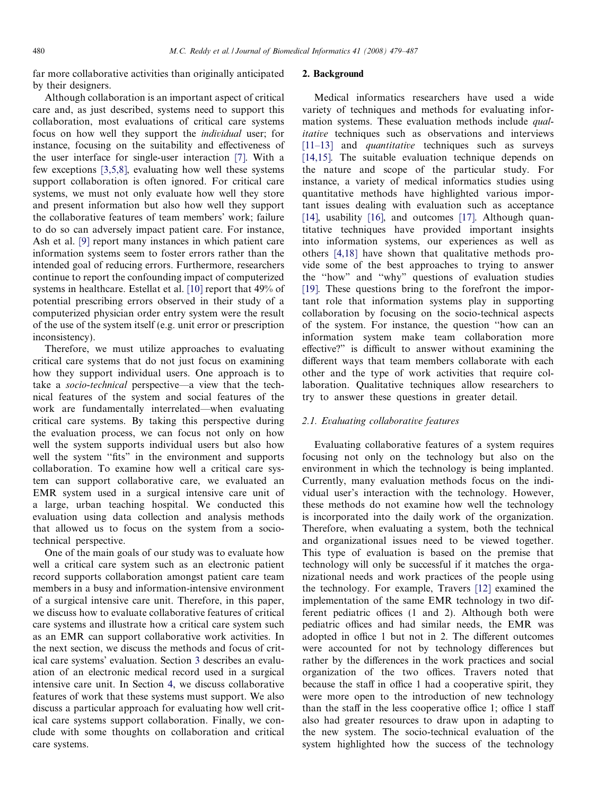far more collaborative activities than originally anticipated by their designers.

Although collaboration is an important aspect of critical care and, as just described, systems need to support this collaboration, most evaluations of critical care systems focus on how well they support the individual user; for instance, focusing on the suitability and effectiveness of the user interface for single-user interaction [\[7\].](#page-7-0) With a few exceptions [\[3,5,8\]](#page-7-0), evaluating how well these systems support collaboration is often ignored. For critical care systems, we must not only evaluate how well they store and present information but also how well they support the collaborative features of team members' work; failure to do so can adversely impact patient care. For instance, Ash et al. [\[9\]](#page-8-0) report many instances in which patient care information systems seem to foster errors rather than the intended goal of reducing errors. Furthermore, researchers continue to report the confounding impact of computerized systems in healthcare. Estellat et al. [\[10\]](#page-8-0) report that 49% of potential prescribing errors observed in their study of a computerized physician order entry system were the result of the use of the system itself (e.g. unit error or prescription inconsistency).

Therefore, we must utilize approaches to evaluating critical care systems that do not just focus on examining how they support individual users. One approach is to take a socio-technical perspective—a view that the technical features of the system and social features of the work are fundamentally interrelated—when evaluating critical care systems. By taking this perspective during the evaluation process, we can focus not only on how well the system supports individual users but also how well the system "fits" in the environment and supports collaboration. To examine how well a critical care system can support collaborative care, we evaluated an EMR system used in a surgical intensive care unit of a large, urban teaching hospital. We conducted this evaluation using data collection and analysis methods that allowed us to focus on the system from a sociotechnical perspective.

One of the main goals of our study was to evaluate how well a critical care system such as an electronic patient record supports collaboration amongst patient care team members in a busy and information-intensive environment of a surgical intensive care unit. Therefore, in this paper, we discuss how to evaluate collaborative features of critical care systems and illustrate how a critical care system such as an EMR can support collaborative work activities. In the next section, we discuss the methods and focus of critical care systems' evaluation. Section [3](#page-2-0) describes an evaluation of an electronic medical record used in a surgical intensive care unit. In Section [4,](#page-3-0) we discuss collaborative features of work that these systems must support. We also discuss a particular approach for evaluating how well critical care systems support collaboration. Finally, we conclude with some thoughts on collaboration and critical care systems.

# 2. Background

Medical informatics researchers have used a wide variety of techniques and methods for evaluating information systems. These evaluation methods include *qualitative* techniques such as observations and interviews  $[11–13]$  and *quantitative* techniques such as surveys [\[14,15\].](#page-8-0) The suitable evaluation technique depends on the nature and scope of the particular study. For instance, a variety of medical informatics studies using quantitative methods have highlighted various important issues dealing with evaluation such as acceptance [\[14\]](#page-8-0), usability [\[16\]](#page-8-0), and outcomes [\[17\]](#page-8-0). Although quantitative techniques have provided important insights into information systems, our experiences as well as others [\[4,18\]](#page-7-0) have shown that qualitative methods provide some of the best approaches to trying to answer the ''how" and ''why" questions of evaluation studies [\[19\]](#page-8-0). These questions bring to the forefront the important role that information systems play in supporting collaboration by focusing on the socio-technical aspects of the system. For instance, the question ''how can an information system make team collaboration more effective?" is difficult to answer without examining the different ways that team members collaborate with each other and the type of work activities that require collaboration. Qualitative techniques allow researchers to try to answer these questions in greater detail.

# 2.1. Evaluating collaborative features

Evaluating collaborative features of a system requires focusing not only on the technology but also on the environment in which the technology is being implanted. Currently, many evaluation methods focus on the individual user's interaction with the technology. However, these methods do not examine how well the technology is incorporated into the daily work of the organization. Therefore, when evaluating a system, both the technical and organizational issues need to be viewed together. This type of evaluation is based on the premise that technology will only be successful if it matches the organizational needs and work practices of the people using the technology. For example, Travers [\[12\]](#page-8-0) examined the implementation of the same EMR technology in two different pediatric offices (1 and 2). Although both were pediatric offices and had similar needs, the EMR was adopted in office 1 but not in 2. The different outcomes were accounted for not by technology differences but rather by the differences in the work practices and social organization of the two offices. Travers noted that because the staff in office 1 had a cooperative spirit, they were more open to the introduction of new technology than the staff in the less cooperative office 1; office 1 staff also had greater resources to draw upon in adapting to the new system. The socio-technical evaluation of the system highlighted how the success of the technology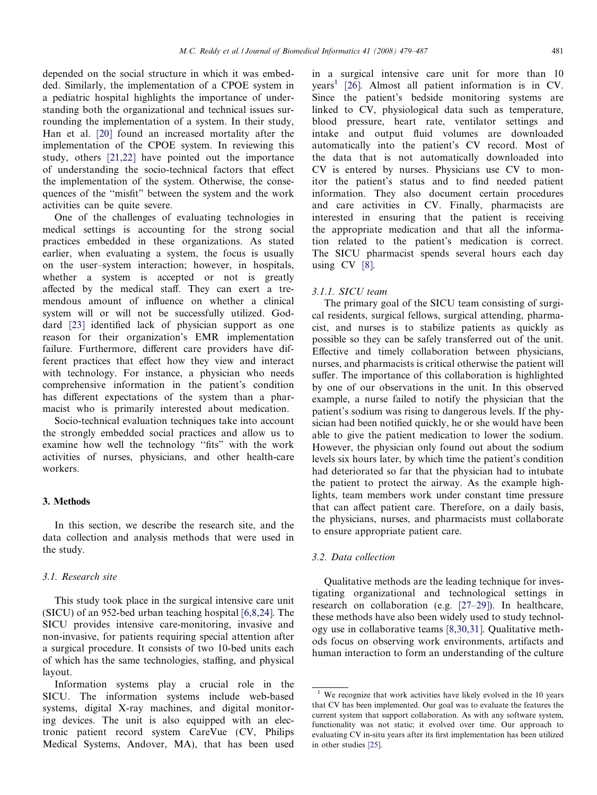<span id="page-2-0"></span>depended on the social structure in which it was embedded. Similarly, the implementation of a CPOE system in a pediatric hospital highlights the importance of understanding both the organizational and technical issues surrounding the implementation of a system. In their study, Han et al. [\[20\]](#page-8-0) found an increased mortality after the implementation of the CPOE system. In reviewing this study, others [\[21,22\]](#page-8-0) have pointed out the importance of understanding the socio-technical factors that effect the implementation of the system. Otherwise, the consequences of the ''misfit" between the system and the work activities can be quite severe.

One of the challenges of evaluating technologies in medical settings is accounting for the strong social practices embedded in these organizations. As stated earlier, when evaluating a system, the focus is usually on the user–system interaction; however, in hospitals, whether a system is accepted or not is greatly affected by the medical staff. They can exert a tremendous amount of influence on whether a clinical system will or will not be successfully utilized. Goddard [\[23\]](#page-8-0) identified lack of physician support as one reason for their organization's EMR implementation failure. Furthermore, different care providers have different practices that effect how they view and interact with technology. For instance, a physician who needs comprehensive information in the patient's condition has different expectations of the system than a pharmacist who is primarily interested about medication.

Socio-technical evaluation techniques take into account the strongly embedded social practices and allow us to examine how well the technology ''fits" with the work activities of nurses, physicians, and other health-care workers.

# 3. Methods

In this section, we describe the research site, and the data collection and analysis methods that were used in the study.

# 3.1. Research site

This study took place in the surgical intensive care unit (SICU) of an 952-bed urban teaching hospital [\[6,8,24\].](#page-7-0) The SICU provides intensive care-monitoring, invasive and non-invasive, for patients requiring special attention after a surgical procedure. It consists of two 10-bed units each of which has the same technologies, staffing, and physical layout.

Information systems play a crucial role in the SICU. The information systems include web-based systems, digital X-ray machines, and digital monitoring devices. The unit is also equipped with an electronic patient record system CareVue (CV, Philips Medical Systems, Andover, MA), that has been used in a surgical intensive care unit for more than 10 years<sup>1</sup> [\[26\]](#page-8-0). Almost all patient information is in CV. Since the patient's bedside monitoring systems are linked to CV, physiological data such as temperature, blood pressure, heart rate, ventilator settings and intake and output fluid volumes are downloaded automatically into the patient's CV record. Most of the data that is not automatically downloaded into CV is entered by nurses. Physicians use CV to monitor the patient's status and to find needed patient information. They also document certain procedures and care activities in CV. Finally, pharmacists are interested in ensuring that the patient is receiving the appropriate medication and that all the information related to the patient's medication is correct. The SICU pharmacist spends several hours each day using CV [\[8\].](#page-7-0)

#### 3.1.1. SICU team

The primary goal of the SICU team consisting of surgical residents, surgical fellows, surgical attending, pharmacist, and nurses is to stabilize patients as quickly as possible so they can be safely transferred out of the unit. Effective and timely collaboration between physicians, nurses, and pharmacists is critical otherwise the patient will suffer. The importance of this collaboration is highlighted by one of our observations in the unit. In this observed example, a nurse failed to notify the physician that the patient's sodium was rising to dangerous levels. If the physician had been notified quickly, he or she would have been able to give the patient medication to lower the sodium. However, the physician only found out about the sodium levels six hours later, by which time the patient's condition had deteriorated so far that the physician had to intubate the patient to protect the airway. As the example highlights, team members work under constant time pressure that can affect patient care. Therefore, on a daily basis, the physicians, nurses, and pharmacists must collaborate to ensure appropriate patient care.

# 3.2. Data collection

Qualitative methods are the leading technique for investigating organizational and technological settings in research on collaboration (e.g. [\[27–29\]](#page-8-0)). In healthcare, these methods have also been widely used to study technology use in collaborative teams [\[8,30,31\]](#page-7-0). Qualitative methods focus on observing work environments, artifacts and human interaction to form an understanding of the culture

 $1$  We recognize that work activities have likely evolved in the 10 years that CV has been implemented. Our goal was to evaluate the features the current system that support collaboration. As with any software system, functionality was not static; it evolved over time. Our approach to evaluating CV in-situ years after its first implementation has been utilized in other studies [\[25\]](#page-8-0).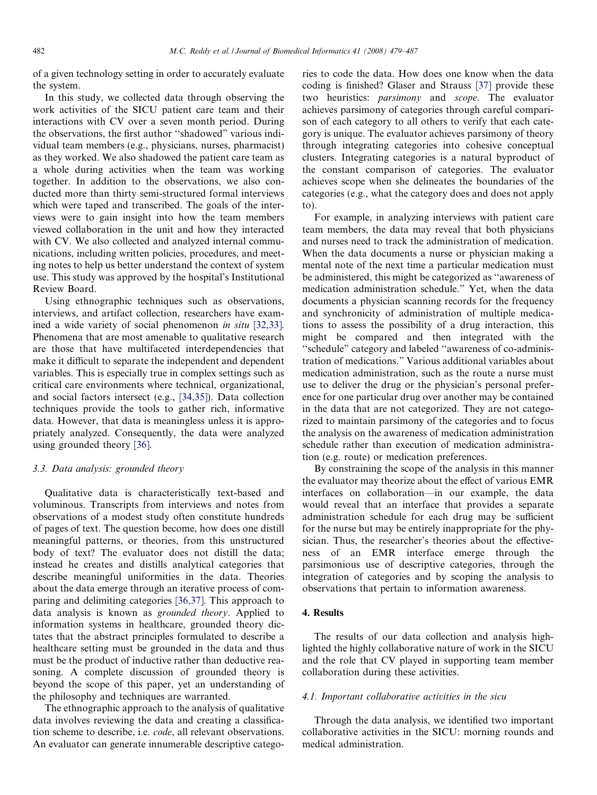<span id="page-3-0"></span>of a given technology setting in order to accurately evaluate the system.

In this study, we collected data through observing the work activities of the SICU patient care team and their interactions with CV over a seven month period. During the observations, the first author ''shadowed" various individual team members (e.g., physicians, nurses, pharmacist) as they worked. We also shadowed the patient care team as a whole during activities when the team was working together. In addition to the observations, we also conducted more than thirty semi-structured formal interviews which were taped and transcribed. The goals of the interviews were to gain insight into how the team members viewed collaboration in the unit and how they interacted with CV. We also collected and analyzed internal communications, including written policies, procedures, and meeting notes to help us better understand the context of system use. This study was approved by the hospital's Institutional Review Board.

Using ethnographic techniques such as observations, interviews, and artifact collection, researchers have examined a wide variety of social phenomenon *in situ* [\[32,33\]](#page-8-0). Phenomena that are most amenable to qualitative research are those that have multifaceted interdependencies that make it difficult to separate the independent and dependent variables. This is especially true in complex settings such as critical care environments where technical, organizational, and social factors intersect (e.g., [\[34,35\]\)](#page-8-0). Data collection techniques provide the tools to gather rich, informative data. However, that data is meaningless unless it is appropriately analyzed. Consequently, the data were analyzed using grounded theory [\[36\].](#page-8-0)

## 3.3. Data analysis: grounded theory

Qualitative data is characteristically text-based and voluminous. Transcripts from interviews and notes from observations of a modest study often constitute hundreds of pages of text. The question become, how does one distill meaningful patterns, or theories, from this unstructured body of text? The evaluator does not distill the data; instead he creates and distills analytical categories that describe meaningful uniformities in the data. Theories about the data emerge through an iterative process of comparing and delimiting categories [\[36,37\]](#page-8-0). This approach to data analysis is known as grounded theory. Applied to information systems in healthcare, grounded theory dictates that the abstract principles formulated to describe a healthcare setting must be grounded in the data and thus must be the product of inductive rather than deductive reasoning. A complete discussion of grounded theory is beyond the scope of this paper, yet an understanding of the philosophy and techniques are warranted.

The ethnographic approach to the analysis of qualitative data involves reviewing the data and creating a classification scheme to describe, i.e. code, all relevant observations. An evaluator can generate innumerable descriptive categories to code the data. How does one know when the data coding is finished? Glaser and Strauss [\[37\]](#page-8-0) provide these two heuristics: parsimony and scope. The evaluator achieves parsimony of categories through careful comparison of each category to all others to verify that each category is unique. The evaluator achieves parsimony of theory through integrating categories into cohesive conceptual clusters. Integrating categories is a natural byproduct of the constant comparison of categories. The evaluator achieves scope when she delineates the boundaries of the categories (e.g., what the category does and does not apply to).

For example, in analyzing interviews with patient care team members, the data may reveal that both physicians and nurses need to track the administration of medication. When the data documents a nurse or physician making a mental note of the next time a particular medication must be administered, this might be categorized as ''awareness of medication administration schedule." Yet, when the data documents a physician scanning records for the frequency and synchronicity of administration of multiple medications to assess the possibility of a drug interaction, this might be compared and then integrated with the ''schedule" category and labeled ''awareness of co-administration of medications." Various additional variables about medication administration, such as the route a nurse must use to deliver the drug or the physician's personal preference for one particular drug over another may be contained in the data that are not categorized. They are not categorized to maintain parsimony of the categories and to focus the analysis on the awareness of medication administration schedule rather than execution of medication administration (e.g. route) or medication preferences.

By constraining the scope of the analysis in this manner the evaluator may theorize about the effect of various EMR interfaces on collaboration—in our example, the data would reveal that an interface that provides a separate administration schedule for each drug may be sufficient for the nurse but may be entirely inappropriate for the physician. Thus, the researcher's theories about the effectiveness of an EMR interface emerge through the parsimonious use of descriptive categories, through the integration of categories and by scoping the analysis to observations that pertain to information awareness.

## 4. Results

The results of our data collection and analysis highlighted the highly collaborative nature of work in the SICU and the role that CV played in supporting team member collaboration during these activities.

#### 4.1. Important collaborative activities in the sicu

Through the data analysis, we identified two important collaborative activities in the SICU: morning rounds and medical administration.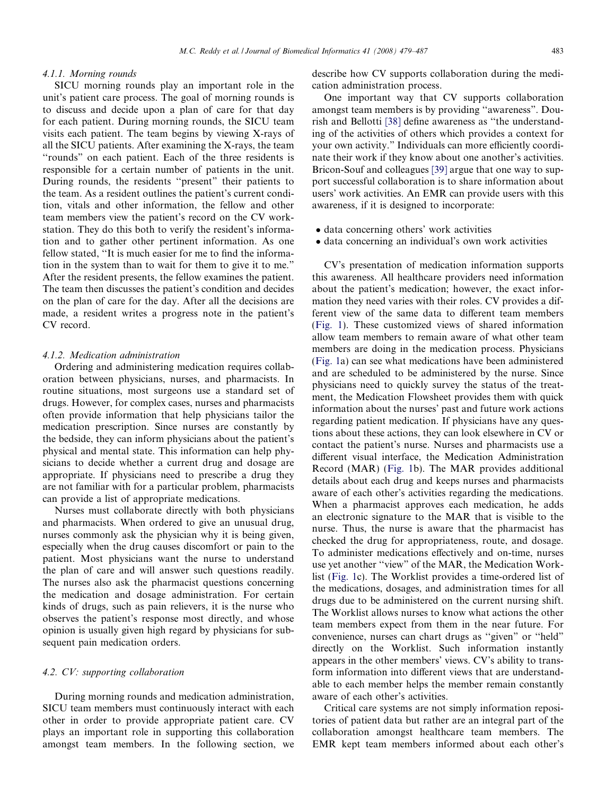## 4.1.1. Morning rounds

SICU morning rounds play an important role in the unit's patient care process. The goal of morning rounds is to discuss and decide upon a plan of care for that day for each patient. During morning rounds, the SICU team visits each patient. The team begins by viewing X-rays of all the SICU patients. After examining the X-rays, the team ''rounds" on each patient. Each of the three residents is responsible for a certain number of patients in the unit. During rounds, the residents "present" their patients to the team. As a resident outlines the patient's current condition, vitals and other information, the fellow and other team members view the patient's record on the CV workstation. They do this both to verify the resident's information and to gather other pertinent information. As one fellow stated, ''It is much easier for me to find the information in the system than to wait for them to give it to me." After the resident presents, the fellow examines the patient. The team then discusses the patient's condition and decides on the plan of care for the day. After all the decisions are made, a resident writes a progress note in the patient's CV record.

## 4.1.2. Medication administration

Ordering and administering medication requires collaboration between physicians, nurses, and pharmacists. In routine situations, most surgeons use a standard set of drugs. However, for complex cases, nurses and pharmacists often provide information that help physicians tailor the medication prescription. Since nurses are constantly by the bedside, they can inform physicians about the patient's physical and mental state. This information can help physicians to decide whether a current drug and dosage are appropriate. If physicians need to prescribe a drug they are not familiar with for a particular problem, pharmacists can provide a list of appropriate medications.

Nurses must collaborate directly with both physicians and pharmacists. When ordered to give an unusual drug, nurses commonly ask the physician why it is being given, especially when the drug causes discomfort or pain to the patient. Most physicians want the nurse to understand the plan of care and will answer such questions readily. The nurses also ask the pharmacist questions concerning the medication and dosage administration. For certain kinds of drugs, such as pain relievers, it is the nurse who observes the patient's response most directly, and whose opinion is usually given high regard by physicians for subsequent pain medication orders.

#### 4.2. CV: supporting collaboration

During morning rounds and medication administration, SICU team members must continuously interact with each other in order to provide appropriate patient care. CV plays an important role in supporting this collaboration amongst team members. In the following section, we describe how CV supports collaboration during the medication administration process.

One important way that CV supports collaboration amongst team members is by providing ''awareness". Dourish and Bellotti [\[38\]](#page-8-0) define awareness as ''the understanding of the activities of others which provides a context for your own activity." Individuals can more efficiently coordinate their work if they know about one another's activities. Bricon-Souf and colleagues [\[39\]](#page-8-0) argue that one way to support successful collaboration is to share information about users' work activities. An EMR can provide users with this awareness, if it is designed to incorporate:

- data concerning others' work activities
- data concerning an individual's own work activities

CV's presentation of medication information supports this awareness. All healthcare providers need information about the patient's medication; however, the exact information they need varies with their roles. CV provides a different view of the same data to different team members ([Fig. 1](#page-5-0)). These customized views of shared information allow team members to remain aware of what other team members are doing in the medication process. Physicians ([Fig. 1a](#page-5-0)) can see what medications have been administered and are scheduled to be administered by the nurse. Since physicians need to quickly survey the status of the treatment, the Medication Flowsheet provides them with quick information about the nurses' past and future work actions regarding patient medication. If physicians have any questions about these actions, they can look elsewhere in CV or contact the patient's nurse. Nurses and pharmacists use a different visual interface, the Medication Administration Record (MAR) [\(Fig. 1b](#page-5-0)). The MAR provides additional details about each drug and keeps nurses and pharmacists aware of each other's activities regarding the medications. When a pharmacist approves each medication, he adds an electronic signature to the MAR that is visible to the nurse. Thus, the nurse is aware that the pharmacist has checked the drug for appropriateness, route, and dosage. To administer medications effectively and on-time, nurses use yet another ''view" of the MAR, the Medication Worklist ([Fig. 1](#page-5-0)c). The Worklist provides a time-ordered list of the medications, dosages, and administration times for all drugs due to be administered on the current nursing shift. The Worklist allows nurses to know what actions the other team members expect from them in the near future. For convenience, nurses can chart drugs as ''given" or ''held" directly on the Worklist. Such information instantly appears in the other members' views. CV's ability to transform information into different views that are understandable to each member helps the member remain constantly aware of each other's activities.

Critical care systems are not simply information repositories of patient data but rather are an integral part of the collaboration amongst healthcare team members. The EMR kept team members informed about each other's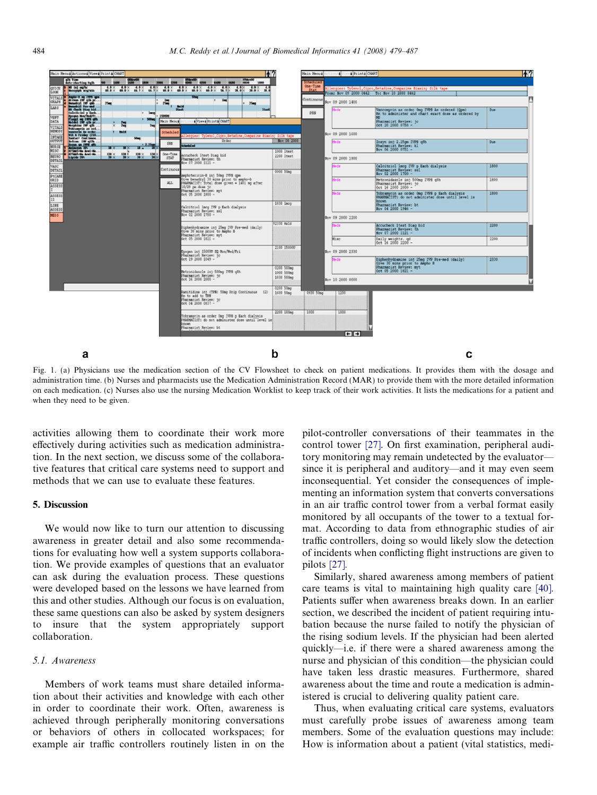<span id="page-5-0"></span>

Fig. 1. (a) Physicians use the medication section of the CV Flowsheet to check on patient medications. It provides them with the dosage and administration time. (b) Nurses and pharmacists use the Medication Administration Record (MAR) to provide them with the more detailed information on each medication. (c) Nurses also use the nursing Medication Worklist to keep track of their work activities. It lists the medications for a patient and when they need to be given.

activities allowing them to coordinate their work more effectively during activities such as medication administration. In the next section, we discuss some of the collaborative features that critical care systems need to support and methods that we can use to evaluate these features.

# 5. Discussion

We would now like to turn our attention to discussing awareness in greater detail and also some recommendations for evaluating how well a system supports collaboration. We provide examples of questions that an evaluator can ask during the evaluation process. These questions were developed based on the lessons we have learned from this and other studies. Although our focus is on evaluation, these same questions can also be asked by system designers to insure that the system appropriately support collaboration.

## 5.1. Awareness

Members of work teams must share detailed information about their activities and knowledge with each other in order to coordinate their work. Often, awareness is achieved through peripherally monitoring conversations or behaviors of others in collocated workspaces; for example air traffic controllers routinely listen in on the

pilot-controller conversations of their teammates in the control tower [\[27\].](#page-8-0) On first examination, peripheral auditory monitoring may remain undetected by the evaluator since it is peripheral and auditory—and it may even seem inconsequential. Yet consider the consequences of implementing an information system that converts conversations in an air traffic control tower from a verbal format easily monitored by all occupants of the tower to a textual format. According to data from ethnographic studies of air traffic controllers, doing so would likely slow the detection of incidents when conflicting flight instructions are given to pilots [\[27\]](#page-8-0).

Similarly, shared awareness among members of patient care teams is vital to maintaining high quality care [\[40\]](#page-8-0). Patients suffer when awareness breaks down. In an earlier section, we described the incident of patient requiring intubation because the nurse failed to notify the physician of the rising sodium levels. If the physician had been alerted quickly—i.e. if there were a shared awareness among the nurse and physician of this condition—the physician could have taken less drastic measures. Furthermore, shared awareness about the time and route a medication is administered is crucial to delivering quality patient care.

Thus, when evaluating critical care systems, evaluators must carefully probe issues of awareness among team members. Some of the evaluation questions may include: How is information about a patient (vital statistics, medi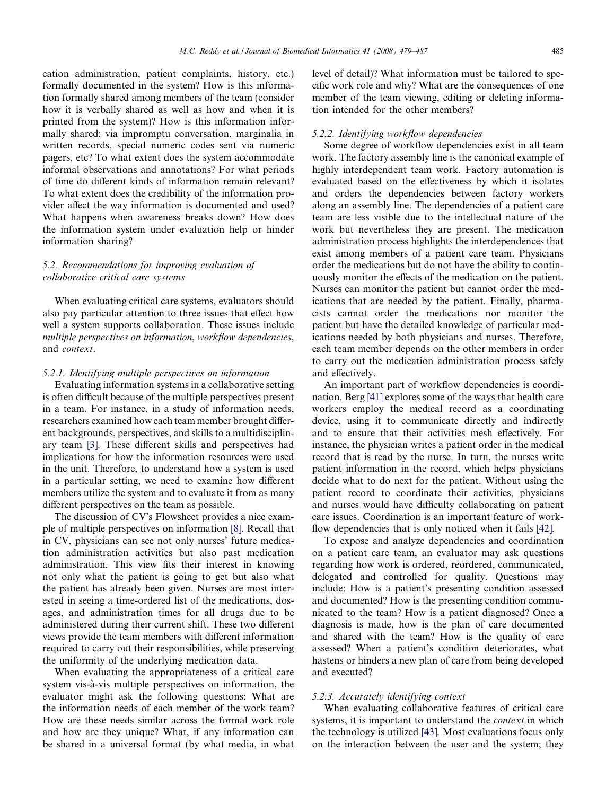cation administration, patient complaints, history, etc.) formally documented in the system? How is this information formally shared among members of the team (consider how it is verbally shared as well as how and when it is printed from the system)? How is this information informally shared: via impromptu conversation, marginalia in written records, special numeric codes sent via numeric pagers, etc? To what extent does the system accommodate informal observations and annotations? For what periods of time do different kinds of information remain relevant? To what extent does the credibility of the information provider affect the way information is documented and used? What happens when awareness breaks down? How does the information system under evaluation help or hinder information sharing?

# 5.2. Recommendations for improving evaluation of collaborative critical care systems

When evaluating critical care systems, evaluators should also pay particular attention to three issues that effect how well a system supports collaboration. These issues include multiple perspectives on information, workflow dependencies, and context.

#### 5.2.1. Identifying multiple perspectives on information

Evaluating information systems in a collaborative setting is often difficult because of the multiple perspectives present in a team. For instance, in a study of information needs, researchers examined how each team member brought different backgrounds, perspectives, and skills to a multidisciplinary team [\[3\]](#page-7-0). These different skills and perspectives had implications for how the information resources were used in the unit. Therefore, to understand how a system is used in a particular setting, we need to examine how different members utilize the system and to evaluate it from as many different perspectives on the team as possible.

The discussion of CV's Flowsheet provides a nice example of multiple perspectives on information [\[8\].](#page-7-0) Recall that in CV, physicians can see not only nurses' future medication administration activities but also past medication administration. This view fits their interest in knowing not only what the patient is going to get but also what the patient has already been given. Nurses are most interested in seeing a time-ordered list of the medications, dosages, and administration times for all drugs due to be administered during their current shift. These two different views provide the team members with different information required to carry out their responsibilities, while preserving the uniformity of the underlying medication data.

When evaluating the appropriateness of a critical care system vis-à-vis multiple perspectives on information, the evaluator might ask the following questions: What are the information needs of each member of the work team? How are these needs similar across the formal work role and how are they unique? What, if any information can be shared in a universal format (by what media, in what level of detail)? What information must be tailored to specific work role and why? What are the consequences of one member of the team viewing, editing or deleting information intended for the other members?

### 5.2.2. Identifying workflow dependencies

Some degree of workflow dependencies exist in all team work. The factory assembly line is the canonical example of highly interdependent team work. Factory automation is evaluated based on the effectiveness by which it isolates and orders the dependencies between factory workers along an assembly line. The dependencies of a patient care team are less visible due to the intellectual nature of the work but nevertheless they are present. The medication administration process highlights the interdependences that exist among members of a patient care team. Physicians order the medications but do not have the ability to continuously monitor the effects of the medication on the patient. Nurses can monitor the patient but cannot order the medications that are needed by the patient. Finally, pharmacists cannot order the medications nor monitor the patient but have the detailed knowledge of particular medications needed by both physicians and nurses. Therefore, each team member depends on the other members in order to carry out the medication administration process safely and effectively.

An important part of workflow dependencies is coordination. Berg [\[41\]](#page-8-0) explores some of the ways that health care workers employ the medical record as a coordinating device, using it to communicate directly and indirectly and to ensure that their activities mesh effectively. For instance, the physician writes a patient order in the medical record that is read by the nurse. In turn, the nurses write patient information in the record, which helps physicians decide what to do next for the patient. Without using the patient record to coordinate their activities, physicians and nurses would have difficulty collaborating on patient care issues. Coordination is an important feature of work-flow dependencies that is only noticed when it fails [\[42\].](#page-8-0)

To expose and analyze dependencies and coordination on a patient care team, an evaluator may ask questions regarding how work is ordered, reordered, communicated, delegated and controlled for quality. Questions may include: How is a patient's presenting condition assessed and documented? How is the presenting condition communicated to the team? How is a patient diagnosed? Once a diagnosis is made, how is the plan of care documented and shared with the team? How is the quality of care assessed? When a patient's condition deteriorates, what hastens or hinders a new plan of care from being developed and executed?

### 5.2.3. Accurately identifying context

When evaluating collaborative features of critical care systems, it is important to understand the *context* in which the technology is utilized [\[43\]](#page-8-0). Most evaluations focus only on the interaction between the user and the system; they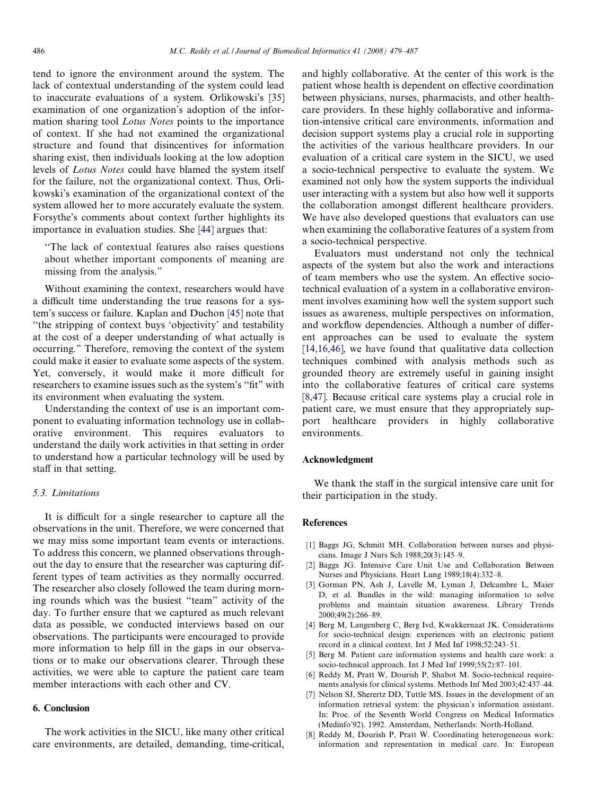<span id="page-7-0"></span>tend to ignore the environment around the system. The lack of contextual understanding of the system could lead to inaccurate evaluations of a system. Orlikowski's [\[35\]](#page-8-0) examination of one organization's adoption of the information sharing tool Lotus Notes points to the importance of context. If she had not examined the organizational structure and found that disincentives for information sharing exist, then individuals looking at the low adoption levels of Lotus Notes could have blamed the system itself for the failure, not the organizational context. Thus, Orlikowski's examination of the organizational context of the system allowed her to more accurately evaluate the system. Forsythe's comments about context further highlights its importance in evaluation studies. She [\[44\]](#page-8-0) argues that:

''The lack of contextual features also raises questions about whether important components of meaning are missing from the analysis."

Without examining the context, researchers would have a difficult time understanding the true reasons for a system's success or failure. Kaplan and Duchon [\[45\]](#page-8-0) note that ''the stripping of context buys 'objectivity' and testability at the cost of a deeper understanding of what actually is occurring." Therefore, removing the context of the system could make it easier to evaluate some aspects of the system. Yet, conversely, it would make it more difficult for researchers to examine issues such as the system's ''fit" with its environment when evaluating the system.

Understanding the context of use is an important component to evaluating information technology use in collaborative environment. This requires evaluators to understand the daily work activities in that setting in order to understand how a particular technology will be used by staff in that setting.

# 5.3. Limitations

It is difficult for a single researcher to capture all the observations in the unit. Therefore, we were concerned that we may miss some important team events or interactions. To address this concern, we planned observations throughout the day to ensure that the researcher was capturing different types of team activities as they normally occurred. The researcher also closely followed the team during morning rounds which was the busiest ''team" activity of the day. To further ensure that we captured as much relevant data as possible, we conducted interviews based on our observations. The participants were encouraged to provide more information to help fill in the gaps in our observations or to make our observations clearer. Through these activities, we were able to capture the patient care team member interactions with each other and CV.

# 6. Conclusion

The work activities in the SICU, like many other critical care environments, are detailed, demanding, time-critical,

and highly collaborative. At the center of this work is the patient whose health is dependent on effective coordination between physicians, nurses, pharmacists, and other healthcare providers. In these highly collaborative and information-intensive critical care environments, information and decision support systems play a crucial role in supporting the activities of the various healthcare providers. In our evaluation of a critical care system in the SICU, we used a socio-technical perspective to evaluate the system. We examined not only how the system supports the individual user interacting with a system but also how well it supports the collaboration amongst different healthcare providers. We have also developed questions that evaluators can use when examining the collaborative features of a system from a socio-technical perspective.

Evaluators must understand not only the technical aspects of the system but also the work and interactions of team members who use the system. An effective sociotechnical evaluation of a system in a collaborative environment involves examining how well the system support such issues as awareness, multiple perspectives on information, and workflow dependencies. Although a number of different approaches can be used to evaluate the system  $[14,16,46]$ , we have found that qualitative data collection techniques combined with analysis methods such as grounded theory are extremely useful in gaining insight into the collaborative features of critical care systems [8,47]. Because critical care systems play a crucial role in patient care, we must ensure that they appropriately support healthcare providers in highly collaborative environments.

### Acknowledgment

We thank the staff in the surgical intensive care unit for their participation in the study.

## References

- [1] Baggs JG, Schmitt MH. Collaboration between nurses and physicians. Image J Nurs Sch 1988;20(3):145–9.
- [2] Baggs JG. Intensive Care Unit Use and Collaboration Between Nurses and Physicians. Heart Lung 1989;18(4):332–8.
- [3] Gorman PN, Ash J, Lavelle M, Lyman J, Delcambre L, Maier D, et al. Bundles in the wild: managing information to solve problems and maintain situation awareness. Library Trends 2000;49(2):266–89.
- [4] Berg M, Langenberg C, Berg Ivd, Kwakkernaat JK. Considerations for socio-technical design: experiences with an electronic patient record in a clinical context. Int J Med Inf 1998;52:243–51.
- [5] Berg M. Patient care information systems and health care work: a socio-technical approach. Int J Med Inf 1999;55(2):87–101.
- [6] Reddy M, Pratt W, Dourish P, Shabot M. Socio-technical requirements analysis for clinical systems. Methods Inf Med 2003;42:437–44.
- [7] Nelson SJ, Sherertz DD, Tuttle MS. Issues in the development of an information retrieval system: the physician's information assistant. In: Proc. of the Seventh World Congress on Medical Informatics (Medinfo'92). 1992. Amsterdam, Netherlands: North-Holland.
- [8] Reddy M, Dourish P, Pratt W. Coordinating heterogeneous work: information and representation in medical care. In: European